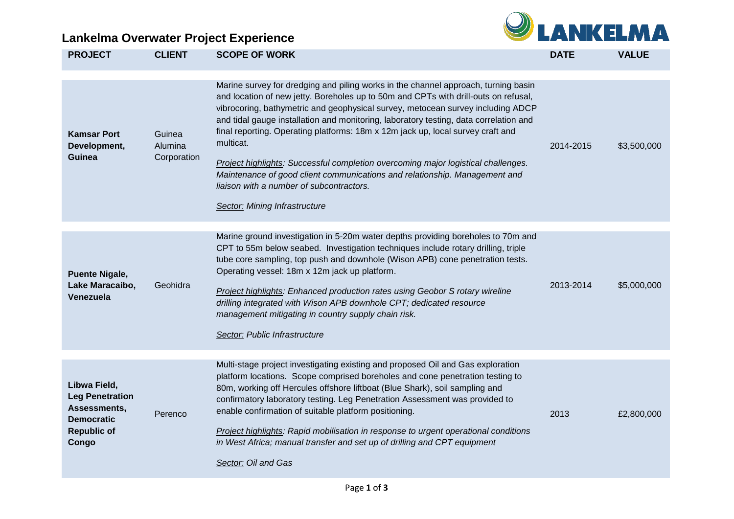## **Lankelma Overwater Project Experience**



| <b>PROJECT</b>                                                                                             | <b>CLIENT</b>                    | <b>SCOPE OF WORK</b>                                                                                                                                                                                                                                                                                                                                                                                                                                                                                                                                                                                                                                                                                  | <b>DATE</b> | <b>VALUE</b> |
|------------------------------------------------------------------------------------------------------------|----------------------------------|-------------------------------------------------------------------------------------------------------------------------------------------------------------------------------------------------------------------------------------------------------------------------------------------------------------------------------------------------------------------------------------------------------------------------------------------------------------------------------------------------------------------------------------------------------------------------------------------------------------------------------------------------------------------------------------------------------|-------------|--------------|
| <b>Kamsar Port</b><br>Development,<br>Guinea                                                               | Guinea<br>Alumina<br>Corporation | Marine survey for dredging and piling works in the channel approach, turning basin<br>and location of new jetty. Boreholes up to 50m and CPTs with drill-outs on refusal,<br>vibrocoring, bathymetric and geophysical survey, metocean survey including ADCP<br>and tidal gauge installation and monitoring, laboratory testing, data correlation and<br>final reporting. Operating platforms: 18m x 12m jack up, local survey craft and<br>multicat.<br>Project highlights: Successful completion overcoming major logistical challenges.<br>Maintenance of good client communications and relationship. Management and<br>liaison with a number of subcontractors.<br>Sector: Mining Infrastructure | 2014-2015   | \$3,500,000  |
| <b>Puente Nigale,</b><br>Lake Maracaibo,<br>Venezuela                                                      | Geohidra                         | Marine ground investigation in 5-20m water depths providing boreholes to 70m and<br>CPT to 55m below seabed. Investigation techniques include rotary drilling, triple<br>tube core sampling, top push and downhole (Wison APB) cone penetration tests.<br>Operating vessel: 18m x 12m jack up platform.<br><b>Project highlights: Enhanced production rates using Geobor S rotary wireline</b><br>drilling integrated with Wison APB downhole CPT; dedicated resource<br>management mitigating in country supply chain risk.<br>Sector: Public Infrastructure                                                                                                                                         | 2013-2014   | \$5,000,000  |
| Libwa Field,<br><b>Leg Penetration</b><br>Assessments,<br><b>Democratic</b><br><b>Republic of</b><br>Congo | Perenco                          | Multi-stage project investigating existing and proposed Oil and Gas exploration<br>platform locations. Scope comprised boreholes and cone penetration testing to<br>80m, working off Hercules offshore liftboat (Blue Shark), soil sampling and<br>confirmatory laboratory testing. Leg Penetration Assessment was provided to<br>enable confirmation of suitable platform positioning.<br>Project highlights: Rapid mobilisation in response to urgent operational conditions<br>in West Africa; manual transfer and set up of drilling and CPT equipment<br>Sector: Oil and Gas                                                                                                                     | 2013        | £2,800,000   |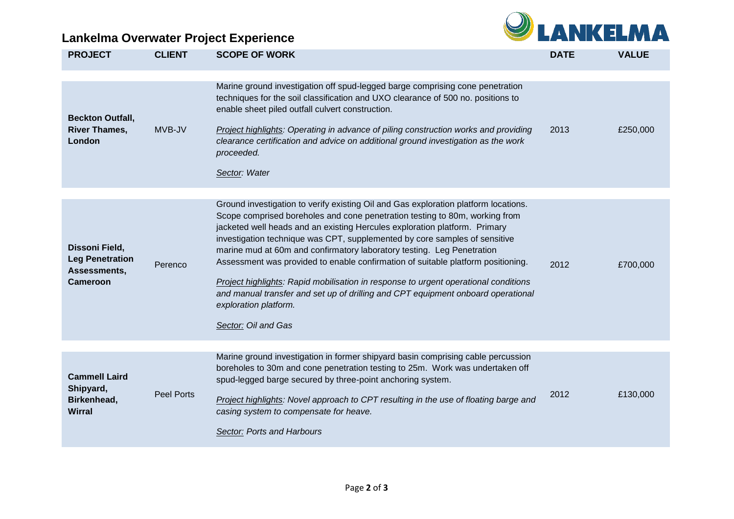## **Lankelma Overwater Project Experience**



| <b>PROJECT</b>                                                              | <b>CLIENT</b>     | <b>SCOPE OF WORK</b>                                                                                                                                                                                                                                                                                                                                                                                                                                                                                                                                                                                                                                                                                                    | <b>DATE</b> | <b>VALUE</b> |
|-----------------------------------------------------------------------------|-------------------|-------------------------------------------------------------------------------------------------------------------------------------------------------------------------------------------------------------------------------------------------------------------------------------------------------------------------------------------------------------------------------------------------------------------------------------------------------------------------------------------------------------------------------------------------------------------------------------------------------------------------------------------------------------------------------------------------------------------------|-------------|--------------|
| <b>Beckton Outfall,</b><br><b>River Thames,</b><br>London                   | MVB-JV            | Marine ground investigation off spud-legged barge comprising cone penetration<br>techniques for the soil classification and UXO clearance of 500 no. positions to<br>enable sheet piled outfall culvert construction.<br>Project highlights: Operating in advance of piling construction works and providing<br>clearance certification and advice on additional ground investigation as the work<br>proceeded.<br>Sector: Water                                                                                                                                                                                                                                                                                        | 2013        | £250,000     |
| Dissoni Field,<br><b>Leg Penetration</b><br>Assessments,<br><b>Cameroon</b> | Perenco           | Ground investigation to verify existing Oil and Gas exploration platform locations.<br>Scope comprised boreholes and cone penetration testing to 80m, working from<br>jacketed well heads and an existing Hercules exploration platform. Primary<br>investigation technique was CPT, supplemented by core samples of sensitive<br>marine mud at 60m and confirmatory laboratory testing. Leg Penetration<br>Assessment was provided to enable confirmation of suitable platform positioning.<br>Project highlights: Rapid mobilisation in response to urgent operational conditions<br>and manual transfer and set up of drilling and CPT equipment onboard operational<br>exploration platform.<br>Sector: Oil and Gas | 2012        | £700,000     |
| <b>Cammell Laird</b><br>Shipyard,<br>Birkenhead,<br><b>Wirral</b>           | <b>Peel Ports</b> | Marine ground investigation in former shipyard basin comprising cable percussion<br>boreholes to 30m and cone penetration testing to 25m. Work was undertaken off<br>spud-legged barge secured by three-point anchoring system.<br>Project highlights: Novel approach to CPT resulting in the use of floating barge and<br>casing system to compensate for heave.<br>Sector: Ports and Harbours                                                                                                                                                                                                                                                                                                                         | 2012        | £130,000     |